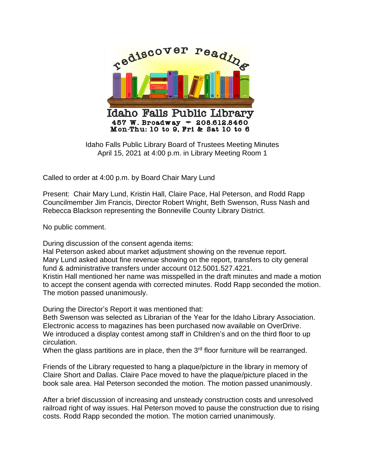

Idaho Falls Public Library Board of Trustees Meeting Minutes April 15, 2021 at 4:00 p.m. in Library Meeting Room 1

Called to order at 4:00 p.m. by Board Chair Mary Lund

Present: Chair Mary Lund, Kristin Hall, Claire Pace, Hal Peterson, and Rodd Rapp Councilmember Jim Francis, Director Robert Wright, Beth Swenson, Russ Nash and Rebecca Blackson representing the Bonneville County Library District.

No public comment.

During discussion of the consent agenda items:

Hal Peterson asked about market adjustment showing on the revenue report. Mary Lund asked about fine revenue showing on the report, transfers to city general fund & administrative transfers under account 012.5001.527.4221.

Kristin Hall mentioned her name was misspelled in the draft minutes and made a motion to accept the consent agenda with corrected minutes. Rodd Rapp seconded the motion. The motion passed unanimously.

During the Director's Report it was mentioned that:

Beth Swenson was selected as Librarian of the Year for the Idaho Library Association. Electronic access to magazines has been purchased now available on OverDrive. We introduced a display contest among staff in Children's and on the third floor to up circulation.

When the glass partitions are in place, then the 3<sup>rd</sup> floor furniture will be rearranged.

Friends of the Library requested to hang a plaque/picture in the library in memory of Claire Short and Dallas. Claire Pace moved to have the plaque/picture placed in the book sale area. Hal Peterson seconded the motion. The motion passed unanimously.

After a brief discussion of increasing and unsteady construction costs and unresolved railroad right of way issues. Hal Peterson moved to pause the construction due to rising costs. Rodd Rapp seconded the motion. The motion carried unanimously.